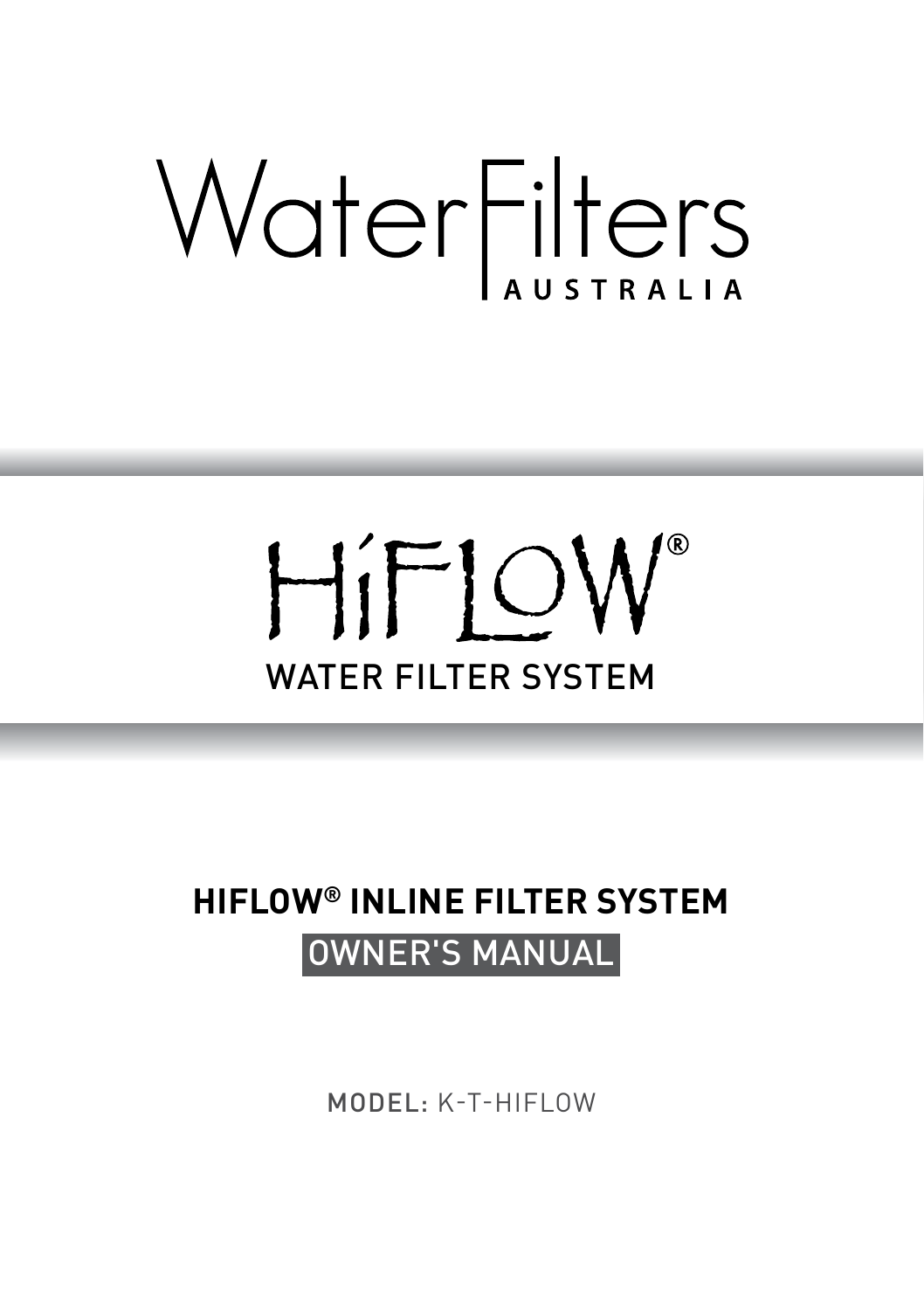# WaterFilters

# HiFIOW® WATER FILTER SYSTEM

### **HIFLOW® INLINE FILTER SYSTEM** OWNER'S MANUAL

MODEL: K-T-HIFLOW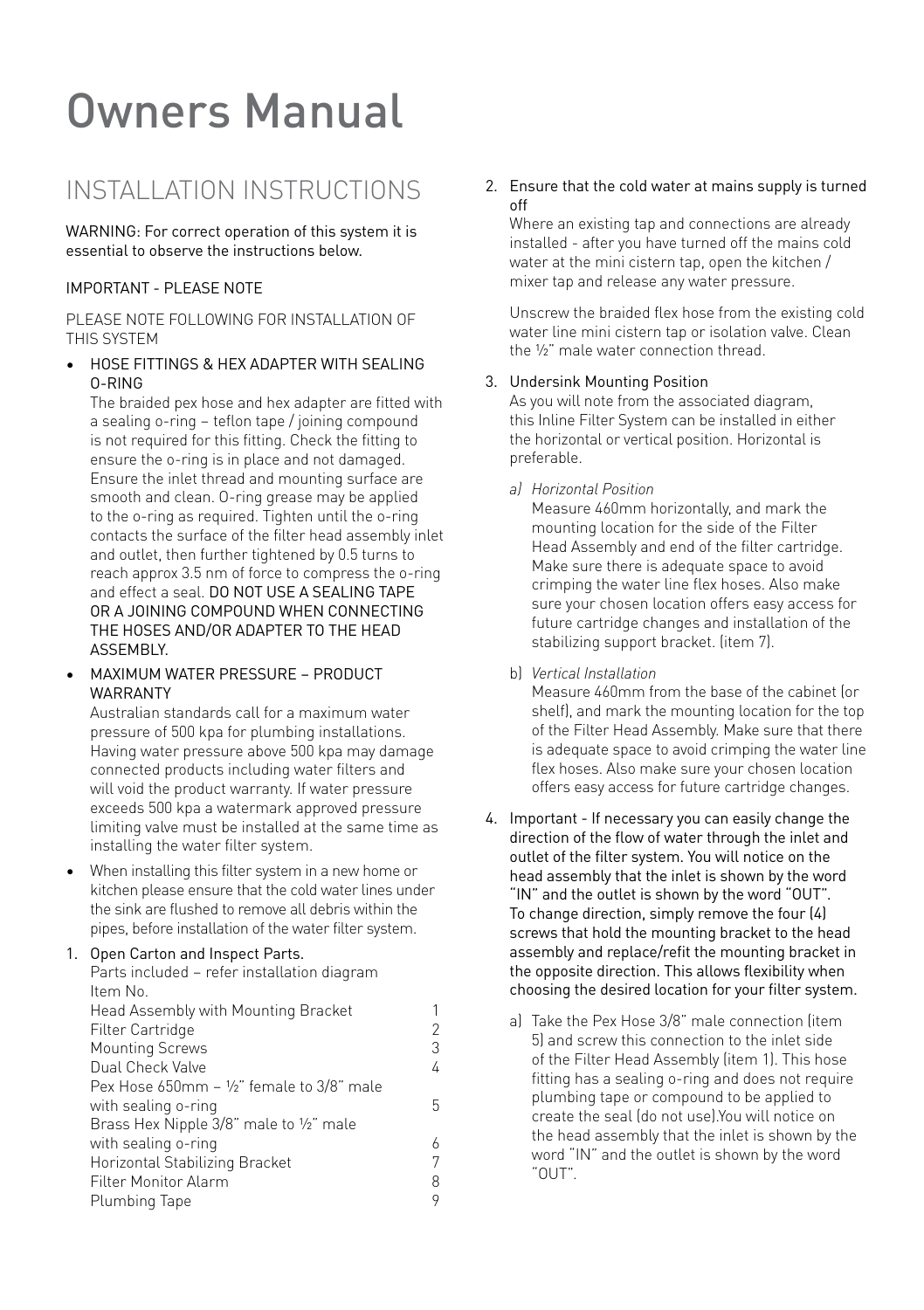## **Owners Manual**

#### INSTALLATION INSTRUCTIONS

WARNING: For correct operation of this system it is essential to observe the instructions below.

#### IMPORTANT - PLEASE NOTE

PLEASE NOTE FOLLOWING FOR INSTALLATION OF THIS SYSTEM

• HOSE FITTINGS & HEX ADAPTER WITH SEALING O-RING

The braided pex hose and hex adapter are fitted with a sealing o-ring – teflon tape / joining compound is not required for this fitting. Check the fitting to ensure the o-ring is in place and not damaged. Ensure the inlet thread and mounting surface are smooth and clean. O-ring grease may be applied to the o-ring as required. Tighten until the o-ring contacts the surface of the filter head assembly inlet and outlet, then further tightened by 0.5 turns to reach approx 3.5 nm of force to compress the o-ring and effect a seal. DO NOT USE A SEALING TAPE OR A JOINING COMPOUND WHEN CONNECTING THE HOSES AND/OR ADAPTER TO THE HEAD **ASSEMBLY** 

• MAXIMUM WATER PRESSURE – PRODUCT WARRANTY

Australian standards call for a maximum water pressure of 500 kpa for plumbing installations. Having water pressure above 500 kpa may damage connected products including water filters and will void the product warranty. If water pressure exceeds 500 kpa a watermark approved pressure limiting valve must be installed at the same time as installing the water filter system.

• When installing this filter system in a new home or kitchen please ensure that the cold water lines under the sink are flushed to remove all debris within the pipes, before installation of the water filter system.

#### 1. Open Carton and Inspect Parts.

Parts included – refer installation diagram Item No.

| Head Assembly with Mounting Bracket                        | 1 |
|------------------------------------------------------------|---|
| Filter Cartridge                                           | 2 |
| <b>Mounting Screws</b>                                     | 3 |
| Dual Check Valve                                           | 4 |
| Pex Hose $650$ mm - $\frac{1}{2}$ " female to $3/8$ " male |   |
| with sealing o-ring                                        | 5 |
| Brass Hex Nipple 3/8" male to 1/2" male                    |   |
| with sealing o-ring                                        | 6 |
| Horizontal Stabilizing Bracket                             |   |
| Filter Monitor Alarm                                       | 8 |
| Plumbing Tape                                              | 9 |

2. Ensure that the cold water at mains supply is turned off

Where an existing tap and connections are already installed - after you have turned off the mains cold water at the mini cistern tap, open the kitchen / mixer tap and release any water pressure.

 Unscrew the braided flex hose from the existing cold water line mini cistern tap or isolation valve. Clean the ½" male water connection thread.

#### 3. Undersink Mounting Position

 As you will note from the associated diagram, this Inline Filter System can be installed in either the horizontal or vertical position. Horizontal is preferable.

*a) Horizontal Position*

Measure 460mm horizontally, and mark the mounting location for the side of the Filter Head Assembly and end of the filter cartridge. Make sure there is adequate space to avoid crimping the water line flex hoses. Also make sure your chosen location offers easy access for future cartridge changes and installation of the stabilizing support bracket. (item 7).

b) *Vertical Installation*

 Measure 460mm from the base of the cabinet (or shelf), and mark the mounting location for the top of the Filter Head Assembly. Make sure that there is adequate space to avoid crimping the water line flex hoses. Also make sure your chosen location offers easy access for future cartridge changes.

- 4. Important If necessary you can easily change the direction of the flow of water through the inlet and outlet of the filter system. You will notice on the head assembly that the inlet is shown by the word "IN" and the outlet is shown by the word "OUT". To change direction, simply remove the four (4) screws that hold the mounting bracket to the head assembly and replace/refit the mounting bracket in the opposite direction. This allows flexibility when choosing the desired location for your filter system.
	- a) Take the Pex Hose 3/8" male connection (item 5) and screw this connection to the inlet side of the Filter Head Assembly (item 1). This hose fitting has a sealing o-ring and does not require plumbing tape or compound to be applied to create the seal (do not use).You will notice on the head assembly that the inlet is shown by the word "IN" and the outlet is shown by the word "OUT".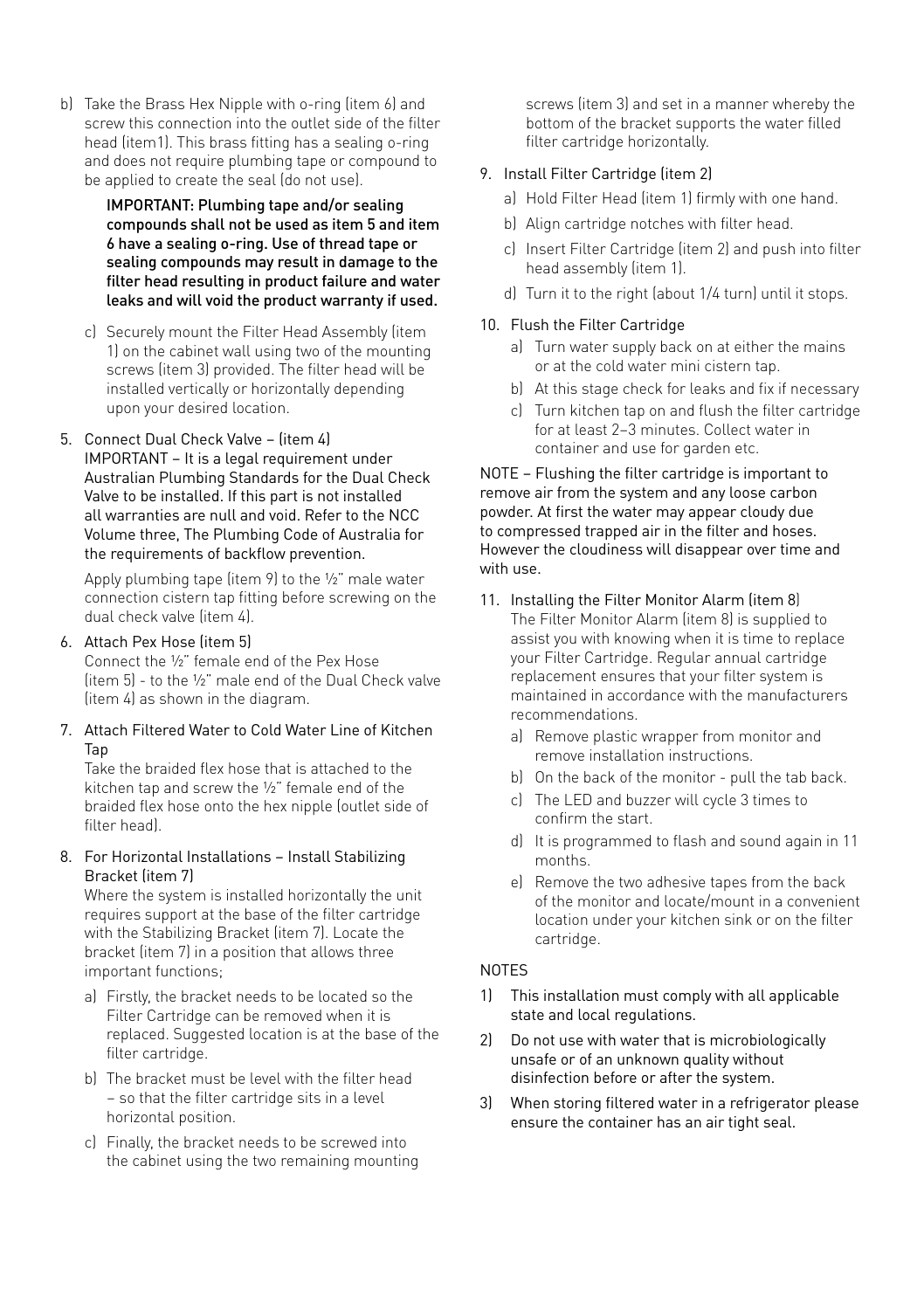b) Take the Brass Hex Nipple with o-ring (item 6) and<br>screw this connection into the outlet side of the filte<br>head (item 1). This brass fitting has a sealing o-ring screw this connection into the outlet side of the filter head (item1). This brass fitting has a sealing o-ring and does not require plumbing tape or compound to be applied to create the seal (do not use).

> IMPORTANT: Plumbing tape and/or sealing compounds shall not be used as item 5 and item 6 have a sealing o-ring. Use of thread tape or sealing compounds may result in damage to the filter head resulting in product failure and water leaks and will void the product warranty if used.

- c) Securely mount the Filter Head Assembly (item 1) on the cabinet wall using two of the mounting screws (item 3) provided. The filter head will be installed vertically or horizontally depending upon your desired location.
- 5. Connect Dual Check Valve (item 4) IMPORTANT – It is a legal requirement under Australian Plumbing Standards for the Dual Check Valve to be installed. If this part is not installed all warranties are null and void. Refer to the NCC Volume three, The Plumbing Code of Australia for the requirements of backflow prevention.

 Apply plumbing tape (item 9) to the ½" male water connection cistern tap fitting before screwing on the dual check valve (item 4).

#### 6. Attach Pex Hose (item 5)

Connect the ½" female end of the Pex Hose (item 5) - to the ½" male end of the Dual Check valve (item 4) as shown in the diagram.

7. Attach Filtered Water to Cold Water Line of Kitchen Tap

 Take the braided flex hose that is attached to the kitchen tap and screw the ½" female end of the braided flex hose onto the hex nipple (outlet side of filter head).

8. For Horizontal Installations – Install Stabilizing Bracket (item 7)

 Where the system is installed horizontally the unit requires support at the base of the filter cartridge with the Stabilizing Bracket (item 7). Locate the bracket (item 7) in a position that allows three important functions;

- a) Firstly, the bracket needs to be located so the Filter Cartridge can be removed when it is replaced. Suggested location is at the base of the filter cartridge.
- b) The bracket must be level with the filter head – so that the filter cartridge sits in a level horizontal position.
- c) Finally, the bracket needs to be screwed into the cabinet using the two remaining mounting

screws (item 3) and set in a manner whereby the bottom of the bracket supports the water filled filter cartridge horizontally.

#### 9. Install Filter Cartridge (item 2)

- a) Hold Filter Head (item 1) firmly with one hand.
- b) Align cartridge notches with filter head.
- c) Insert Filter Cartridge (item 2) and push into filter head assembly (item 1).
- d) Turn it to the right (about 1/4 turn) until it stops.

#### 10. Flush the Filter Cartridge

- a) Turn water supply back on at either the mains or at the cold water mini cistern tap.
- b) At this stage check for leaks and fix if necessary
- c) Turn kitchen tap on and flush the filter cartridge for at least 2–3 minutes. Collect water in container and use for garden etc.

NOTE – Flushing the filter cartridge is important to remove air from the system and any loose carbon powder. At first the water may appear cloudy due to compressed trapped air in the filter and hoses. However the cloudiness will disappear over time and with use.

- 11. Installing the Filter Monitor Alarm (item 8) The Filter Monitor Alarm (item 8) is supplied to assist you with knowing when it is time to replace your Filter Cartridge. Regular annual cartridge replacement ensures that your filter system is maintained in accordance with the manufacturers recommendations.
	- a) Remove plastic wrapper from monitor and remove installation instructions.
	- b) On the back of the monitor pull the tab back.
	- c) The LED and buzzer will cycle 3 times to confirm the start.
	- d) It is programmed to flash and sound again in 11 months.
	- e) Remove the two adhesive tapes from the back of the monitor and locate/mount in a convenient location under your kitchen sink or on the filter cartridge.

#### **NOTES**

- 1) This installation must comply with all applicable state and local regulations.
- 2) Do not use with water that is microbiologically unsafe or of an unknown quality without disinfection before or after the system.
- 3) When storing filtered water in a refrigerator please ensure the container has an air tight seal.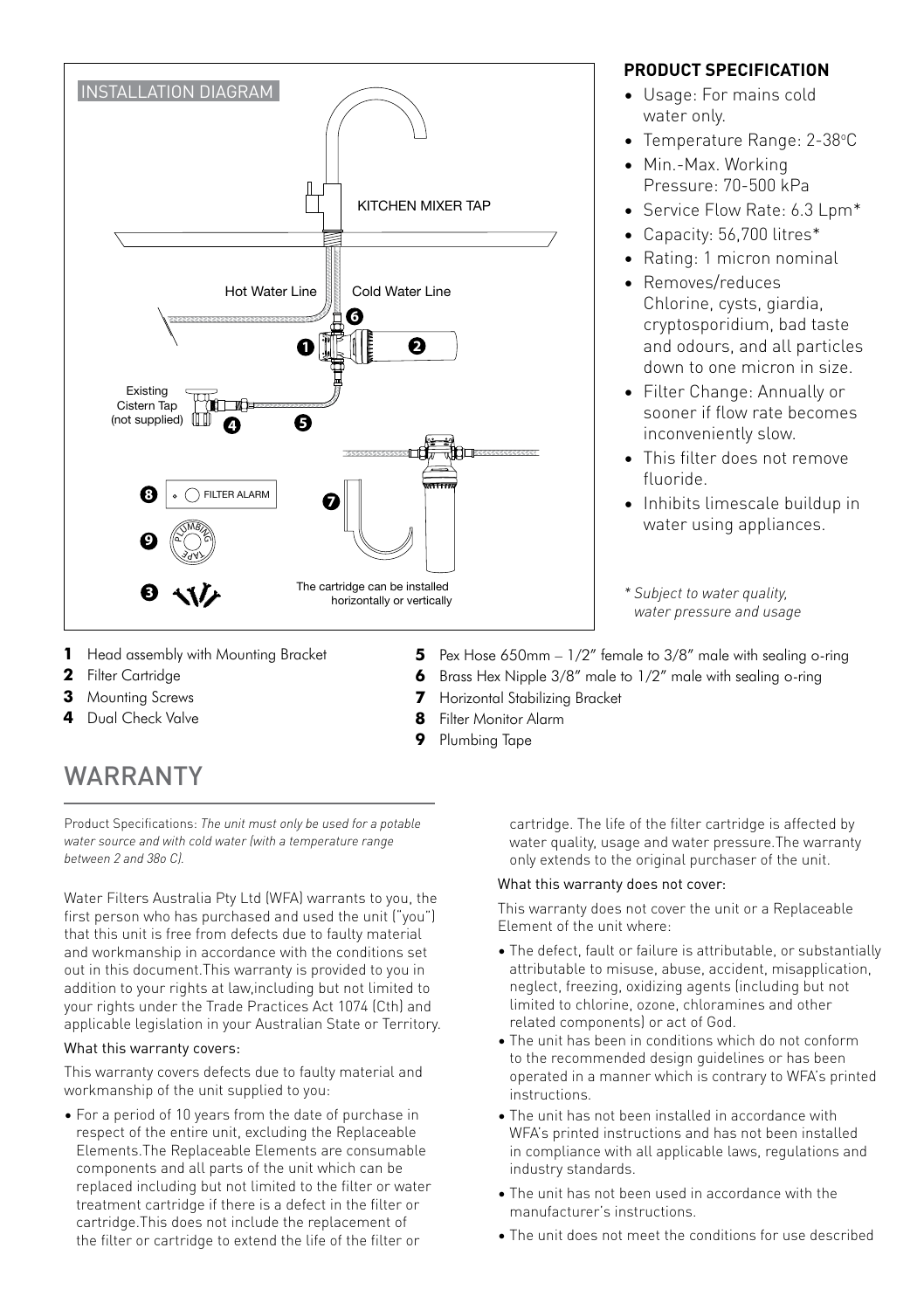

#### **PRODUCT SPECIFICATION**

- Usage: For mains cold water only.
- Temperature Range: 2-38°C
- Min.-Max. Working Pressure: 70-500 kPa
- Service Flow Rate: 6.3 Lpm\*
- Capacity: 56,700 litres\*
- Rating: 1 micron nominal
- Removes/reduces Chlorine, cysts, giardia, cryptosporidium, bad taste and odours, and all particles down to one micron in size.
- Filter Change: Annually or sooner if flow rate becomes inconveniently slow.
- This filter does not remove fluoride.
- Inhibits limescale buildup in water using appliances.

*\* Subject to water quality, water pressure and usage*

- **1** Head assembly with Mounting Bracket
- **2** Filter Cartridge
- **3** Mounting Screws
- **4** Dual Check Valve
- WARRANTY

Product Specifications: *The unit must only be used for a potable water source and with cold water (with a temperature range between 2 and 38o C).*

Water Filters Australia Pty Ltd (WFA) warrants to you, the first person who has purchased and used the unit ("you") that this unit is free from defects due to faulty material and workmanship in accordance with the conditions set out in this document.This warranty is provided to you in addition to your rights at law,including but not limited to your rights under the Trade Practices Act 1074 (Cth) and applicable legislation in your Australian State or Territory.

#### What this warranty covers:

This warranty covers defects due to faulty material and workmanship of the unit supplied to you:

• For a period of 10 years from the date of purchase in respect of the entire unit, excluding the Replaceable Elements.The Replaceable Elements are consumable components and all parts of the unit which can be replaced including but not limited to the filter or water treatment cartridge if there is a defect in the filter or cartridge.This does not include the replacement of the filter or cartridge to extend the life of the filter or

**5** Pex Hose 650mm – 1/2" female to 3/8" male with sealing o-ring **6** Brass Hex Nipple 3/8" male to 1/2" male with sealing o-ring

- **7** Horizontal Stabilizing Bracket
- **8** Filter Monitor Alarm
- **9** Plumbing Tape

cartridge. The life of the filter cartridge is affected by water quality, usage and water pressure.The warranty only extends to the original purchaser of the unit.

#### What this warranty does not cover:

This warranty does not cover the unit or a Replaceable Element of the unit where:

- The defect, fault or failure is attributable, or substantially attributable to misuse, abuse, accident, misapplication, neglect, freezing, oxidizing agents (including but not limited to chlorine, ozone, chloramines and other related components) or act of God.
- The unit has been in conditions which do not conform to the recommended design guidelines or has been operated in a manner which is contrary to WFA's printed instructions.
- The unit has not been installed in accordance with WFA's printed instructions and has not been installed in compliance with all applicable laws, regulations and industry standards.
- The unit has not been used in accordance with the manufacturer's instructions.
- The unit does not meet the conditions for use described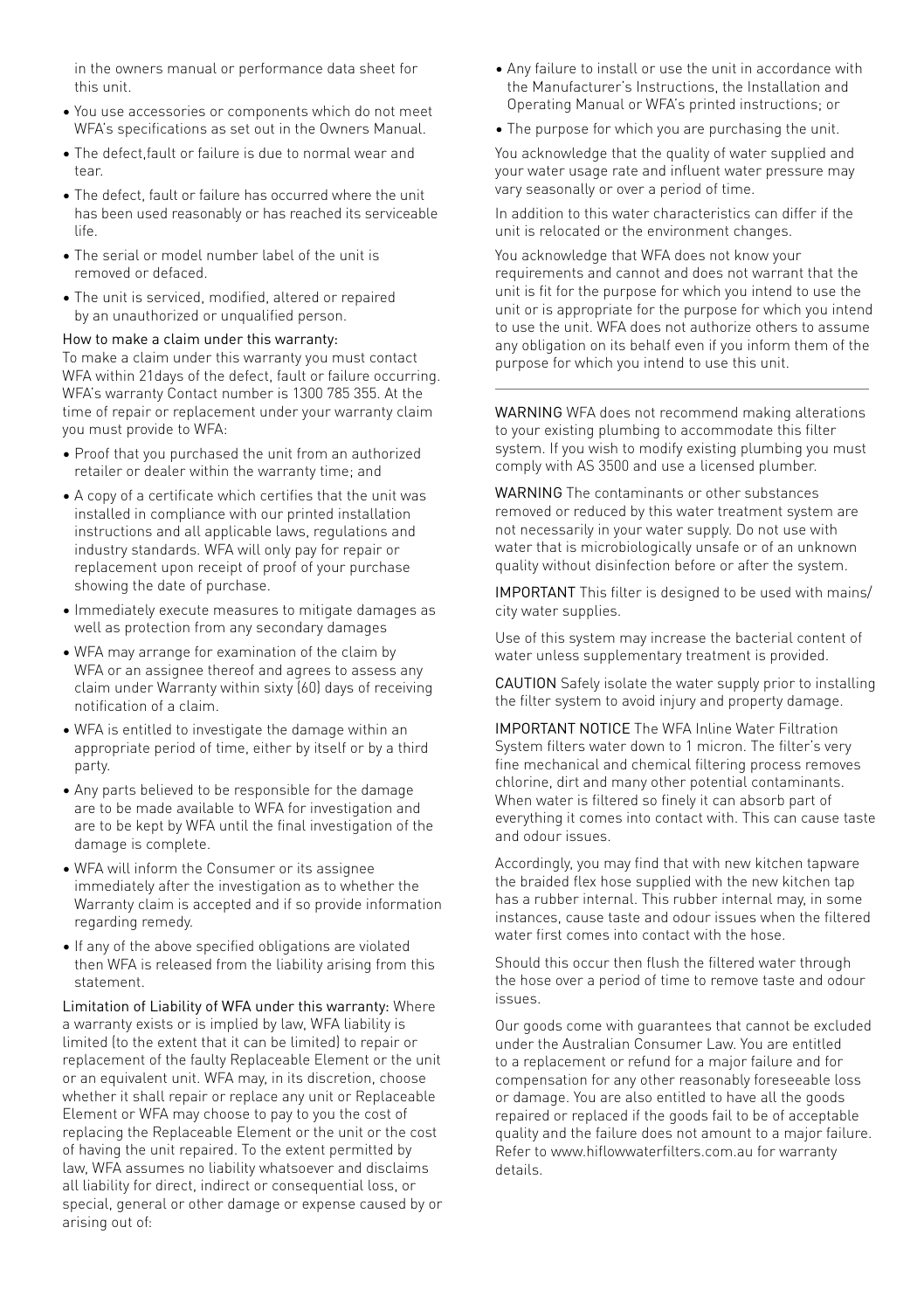in the owners manual or performance data sheet for this unit.

- You use accessories or components which do not meet WFA's specifications as set out in the Owners Manual.
- The defect,fault or failure is due to normal wear and toor
- The defect, fault or failure has occurred where the unit has been used reasonably or has reached its serviceable life.
- The serial or model number label of the unit is removed or defaced.
- The unit is serviced, modified, altered or repaired by an unauthorized or unqualified person.

#### How to make a claim under this warranty:

To make a claim under this warranty you must contact WFA within 21days of the defect, fault or failure occurring. WFA's warranty Contact number is 1300 785 355. At the time of repair or replacement under your warranty claim you must provide to WFA:

- Proof that you purchased the unit from an authorized retailer or dealer within the warranty time; and
- A copy of a certificate which certifies that the unit was installed in compliance with our printed installation instructions and all applicable laws, regulations and industry standards. WFA will only pay for repair or replacement upon receipt of proof of your purchase showing the date of purchase.
- Immediately execute measures to mitigate damages as well as protection from any secondary damages
- WFA may arrange for examination of the claim by WFA or an assignee thereof and agrees to assess any claim under Warranty within sixty (60) days of receiving notification of a claim.
- WFA is entitled to investigate the damage within an appropriate period of time, either by itself or by a third party.
- Any parts believed to be responsible for the damage are to be made available to WFA for investigation and are to be kept by WFA until the final investigation of the damage is complete.
- WFA will inform the Consumer or its assignee immediately after the investigation as to whether the Warranty claim is accepted and if so provide information regarding remedy.
- If any of the above specified obligations are violated then WFA is released from the liability arising from this statement.

Limitation of Liability of WFA under this warranty: Where a warranty exists or is implied by law, WFA liability is limited (to the extent that it can be limited) to repair or replacement of the faulty Replaceable Element or the unit or an equivalent unit. WFA may, in its discretion, choose whether it shall repair or replace any unit or Replaceable Element or WFA may choose to pay to you the cost of replacing the Replaceable Element or the unit or the cost of having the unit repaired. To the extent permitted by law, WFA assumes no liability whatsoever and disclaims all liability for direct, indirect or consequential loss, or special, general or other damage or expense caused by or arising out of:

- Any failure to install or use the unit in accordance with the Manufacturer's Instructions, the Installation and Operating Manual or WFA's printed instructions; or
- The purpose for which you are purchasing the unit.

You acknowledge that the quality of water supplied and your water usage rate and influent water pressure may vary seasonally or over a period of time.

In addition to this water characteristics can differ if the unit is relocated or the environment changes.

You acknowledge that WFA does not know your requirements and cannot and does not warrant that the unit is fit for the purpose for which you intend to use the unit or is appropriate for the purpose for which you intend to use the unit. WFA does not authorize others to assume any obligation on its behalf even if you inform them of the purpose for which you intend to use this unit.

WARNING WFA does not recommend making alterations to your existing plumbing to accommodate this filter system. If you wish to modify existing plumbing you must comply with AS 3500 and use a licensed plumber.

WARNING The contaminants or other substances removed or reduced by this water treatment system are not necessarily in your water supply. Do not use with water that is microbiologically unsafe or of an unknown quality without disinfection before or after the system.

IMPORTANT This filter is designed to be used with mains/ city water supplies.

Use of this system may increase the bacterial content of water unless supplementary treatment is provided.

CAUTION Safely isolate the water supply prior to installing the filter system to avoid injury and property damage.

IMPORTANT NOTICE The WFA Inline Water Filtration System filters water down to 1 micron. The filter's very fine mechanical and chemical filtering process removes chlorine, dirt and many other potential contaminants. When water is filtered so finely it can absorb part of everything it comes into contact with. This can cause taste and odour issues.

Accordingly, you may find that with new kitchen tapware the braided flex hose supplied with the new kitchen tap has a rubber internal. This rubber internal may, in some instances, cause taste and odour issues when the filtered water first comes into contact with the hose.

Should this occur then flush the filtered water through the hose over a period of time to remove taste and odour issues.

Our goods come with guarantees that cannot be excluded under the Australian Consumer Law. You are entitled to a replacement or refund for a major failure and for compensation for any other reasonably foreseeable loss or damage. You are also entitled to have all the goods repaired or replaced if the goods fail to be of acceptable quality and the failure does not amount to a major failure. Refer to www.hiflowwaterfilters.com.au for warranty details.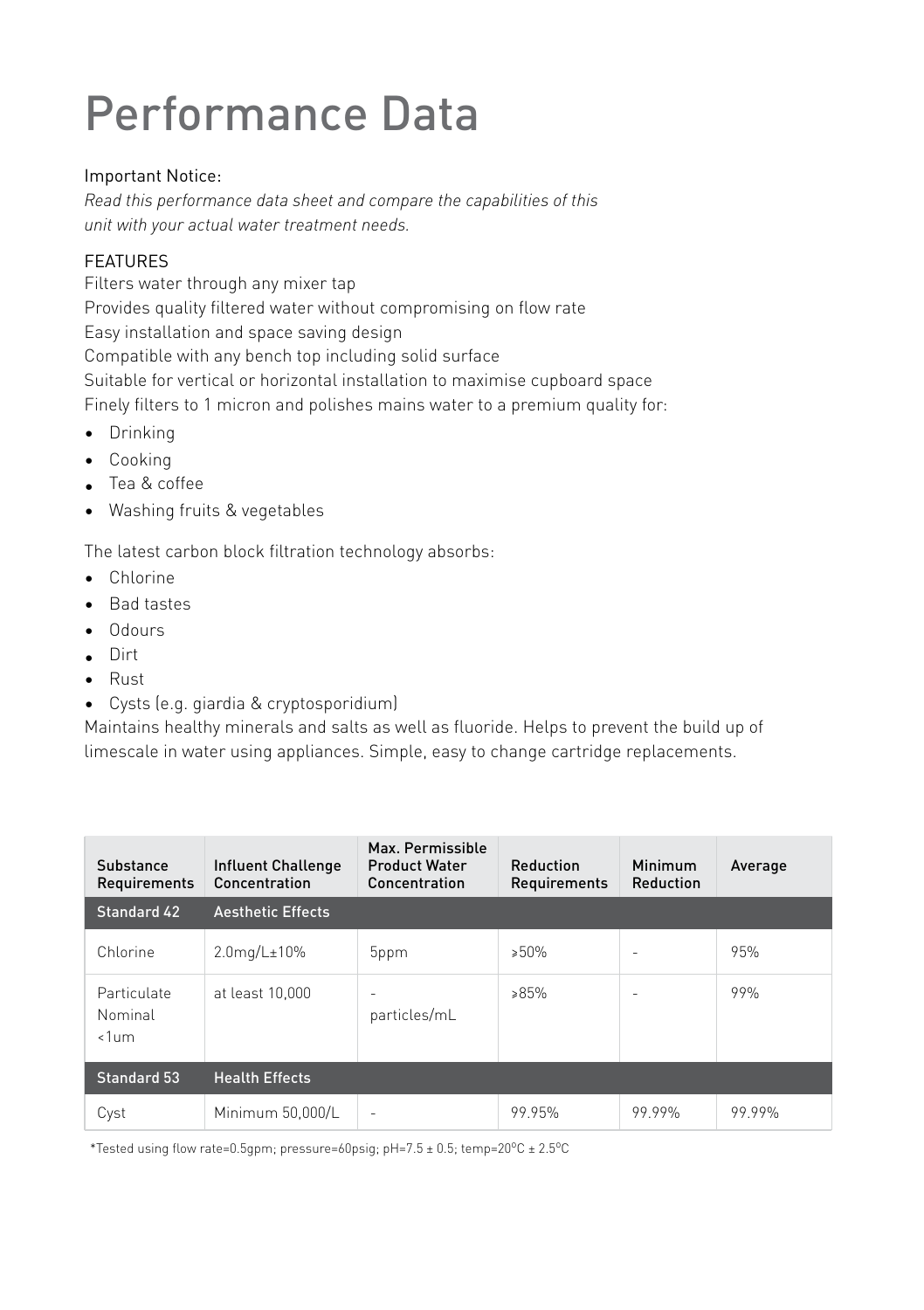## Performance Data

#### Important Notice:

*Read this performance data sheet and compare the capabilities of this unit with your actual water treatment needs.*

#### FEATURES

Filters water through any mixer tap Provides quality filtered water without compromising on flow rate Easy installation and space saving design Compatible with any bench top including solid surface Suitable for vertical or horizontal installation to maximise cupboard space Finely filters to 1 micron and polishes mains water to a premium quality for:

- Drinking
- Cooking
- Tea & coffee
- Washing fruits & vegetables

The latest carbon block filtration technology absorbs:

- Chlorine
- Bad tastes
- Odours
- Dirt
- Rust
- Cysts (e.g. giardia & cryptosporidium)

Maintains healthy minerals and salts as well as fluoride. Helps to prevent the build up of limescale in water using appliances. Simple, easy to change cartridge replacements.

| Substance<br>Requirements         | <b>Influent Challenge</b><br>Concentration | Max. Permissible<br><b>Product Water</b><br>Concentration | Reduction<br>Requirements | Minimum<br>Reduction | Average |
|-----------------------------------|--------------------------------------------|-----------------------------------------------------------|---------------------------|----------------------|---------|
| Standard 42                       | <b>Aesthetic Effects</b>                   |                                                           |                           |                      |         |
| Chlorine                          | $2.0$ mg/L $\pm$ 10%                       | 5ppm                                                      | >50%                      | $\sim$               | 95%     |
| Particulate<br>Nominal<br>$<1$ um | at least 10.000                            | ۰<br>particles/mL                                         | $85\%$                    | ۰                    | 99%     |
| <b>Standard 53</b>                | <b>Health Effects</b>                      |                                                           |                           |                      |         |
| Cyst                              | Minimum 50,000/L                           | ۰                                                         | 99.95%                    | 99 99%               | 99 99%  |

\*Tested using flow rate=0.5gpm; pressure=60psig; pH=7.5 ± 0.5; temp=20°C ± 2.5°C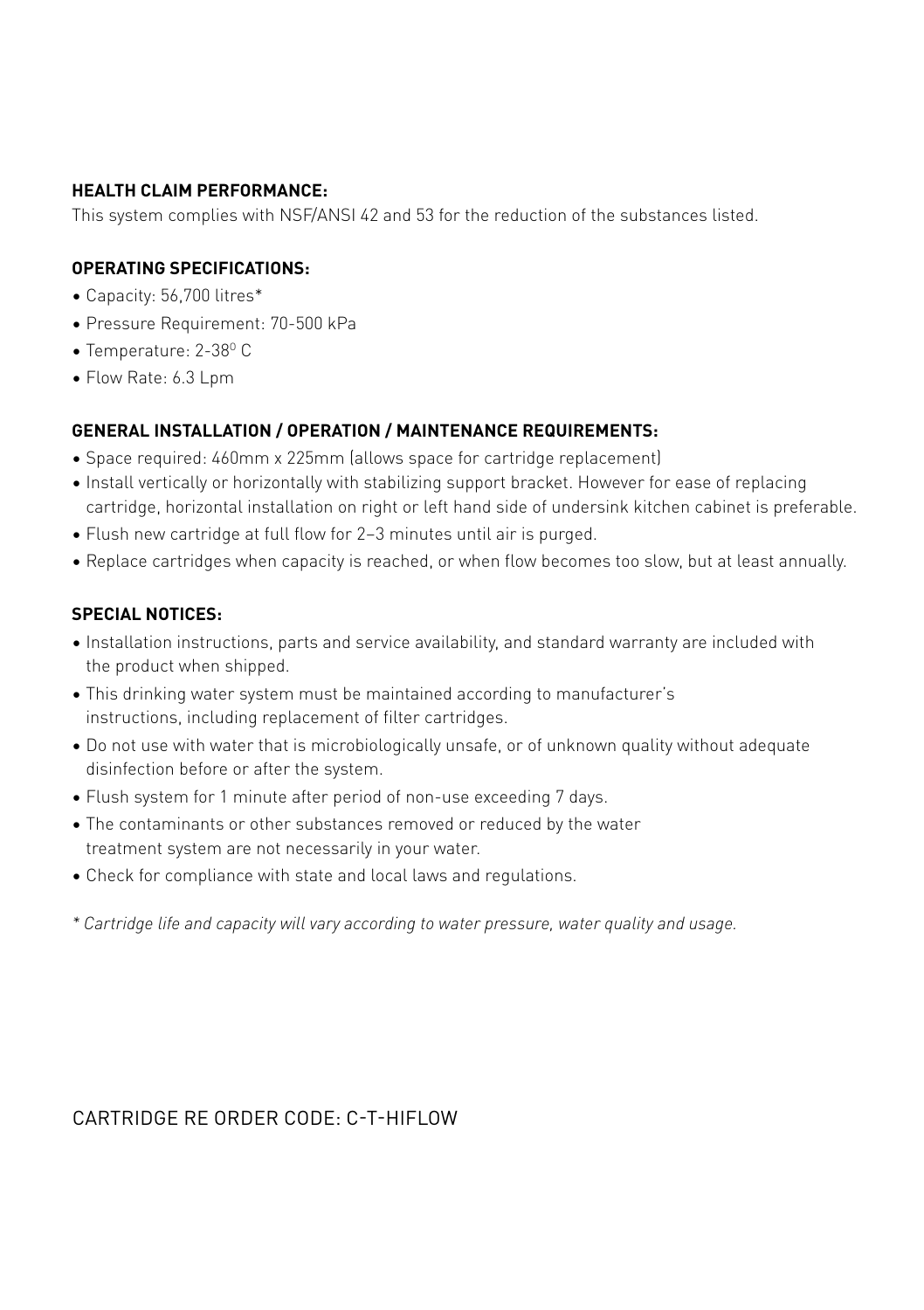#### **HEALTH CLAIM PERFORMANCE:**

This system complies with NSF/ANSI 42 and 53 for the reduction of the substances listed.

#### **OPERATING SPECIFICATIONS:**

- Capacity: 56,700 litres\*
- Pressure Requirement: 70-500 kPa
- $\bullet$  Temperature: 2-38 $^{\circ}$  C
- Flow Rate: 6.3 Lpm

#### **GENERAL INSTALLATION / OPERATION / MAINTENANCE REQUIREMENTS:**

- Space required: 460mm x 225mm (allows space for cartridge replacement)
- Install vertically or horizontally with stabilizing support bracket. However for ease of replacing cartridge, horizontal installation on right or left hand side of undersink kitchen cabinet is preferable.
- Flush new cartridge at full flow for 2–3 minutes until air is purged.
- Replace cartridges when capacity is reached, or when flow becomes too slow, but at least annually.

#### **SPECIAL NOTICES:**

- Installation instructions, parts and service availability, and standard warranty are included with the product when shipped.
- This drinking water system must be maintained according to manufacturer's instructions, including replacement of filter cartridges.
- Do not use with water that is microbiologically unsafe, or of unknown quality without adequate disinfection before or after the system.
- Flush system for 1 minute after period of non-use exceeding 7 days.
- The contaminants or other substances removed or reduced by the water treatment system are not necessarily in your water.
- Check for compliance with state and local laws and regulations.
- *\* Cartridge life and capacity will vary according to water pressure, water quality and usage.*

#### CARTRIDGE RE ORDER CODE: C-T-HIFLOW